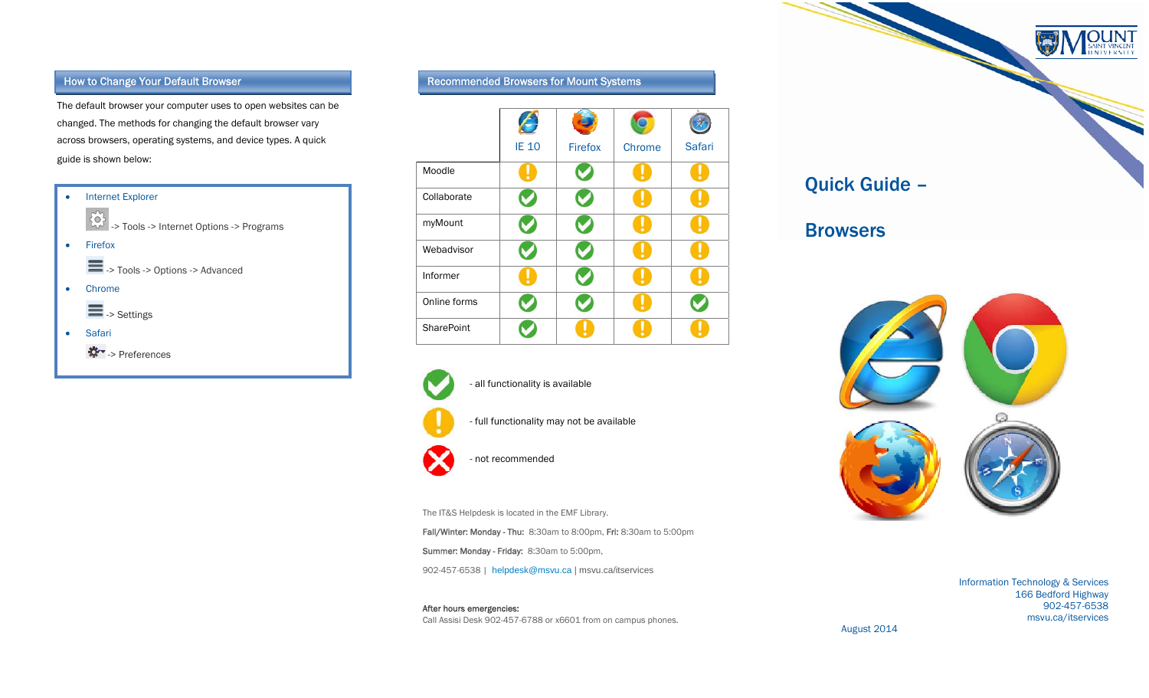The default browser your computer uses to open websites can be changed. The methods for changing the default browser vary across browsers, operating systems, and device types. A quick guide is shown below:



## How to Change Your Default Browser Recommended Browsers for Mount Systems





- full functionality may not be available
- not recommended

The IT&S Helpdesk is located in the EMF Library.

Fall/Winter: Monday - Thu: 8:30am to 8:00pm, Fri: 8:30am to 5:00pm

Summer: Monday - Friday: 8:30am to 5:00pm,

902-457-6538 | helpdesk@msvu.ca | msvu.ca/itservices

After hours emergencies: Call Assisi Desk 902-457-6788 or x6601 from on campus phones.



**OUNT** 



Information Technology & Services 166 Bedford Highway 902-457-6538 msvu.ca/itservices

August 2014